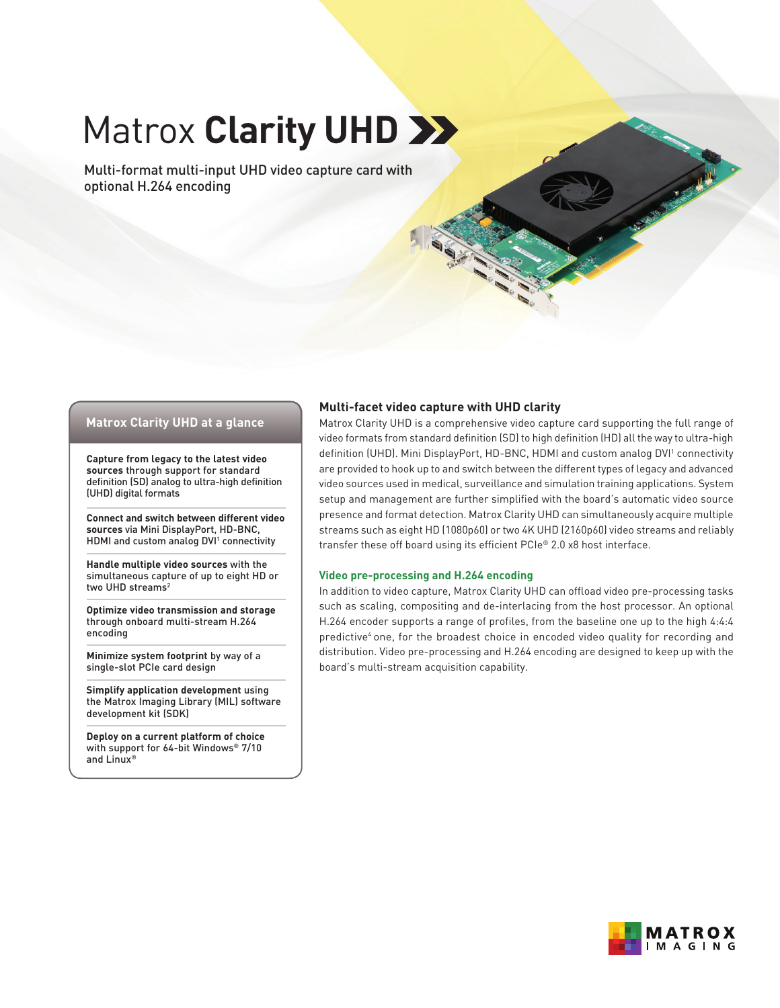# **Matrox Clarity UHD >>>**

Multi-format multi-input UHD video capture card with optional H.264 encoding

## **Matrox Clarity UHD at a glance**

**Capture from legacy to the latest video sources** through support for standard definition (SD) analog to ultra-high definition (UHD) digital formats

**Connect and switch between different video sources** via Mini DisplayPort, HD-BNC, HDMI and custom analog DVI<sup>1</sup> connectivity

**Handle multiple video sources** with the simultaneous capture of up to eight HD or two UHD streams<sup>2</sup>

**Optimize video transmission and storage** through onboard multi-stream H.264 encoding

**Minimize system footprint** by way of a single-slot PCIe card design

**Simplify application development** using the Matrox Imaging Library (MIL) software development kit (SDK)

**Deploy on a current platform of choice** with support for 64-bit Windows® 7/10 and Linux®

## **Multi-facet video capture with UHD clarity**

Matrox Clarity UHD is a comprehensive video capture card supporting the full range of video formats from standard definition (SD) to high definition (HD) all the way to ultra-high definition (UHD). Mini DisplayPort, HD-BNC, HDMI and custom analog DVI<sup>1</sup> connectivity are provided to hook up to and switch between the different types of legacy and advanced video sources used in medical, surveillance and simulation training applications. System setup and management are further simplified with the board's automatic video source presence and format detection. Matrox Clarity UHD can simultaneously acquire multiple streams such as eight HD (1080p60) or two 4K UHD (2160p60) video streams and reliably transfer these off board using its efficient PCIe® 2.0 x8 host interface.

#### **Video pre-processing and H.264 encoding**

In addition to video capture, Matrox Clarity UHD can offload video pre-processing tasks such as scaling, compositing and de-interlacing from the host processor. An optional H.264 encoder supports a range of profiles, from the baseline one up to the high 4:4:4 predictive<sup>4</sup> one, for the broadest choice in encoded video quality for recording and distribution. Video pre-processing and H.264 encoding are designed to keep up with the board's multi-stream acquisition capability.

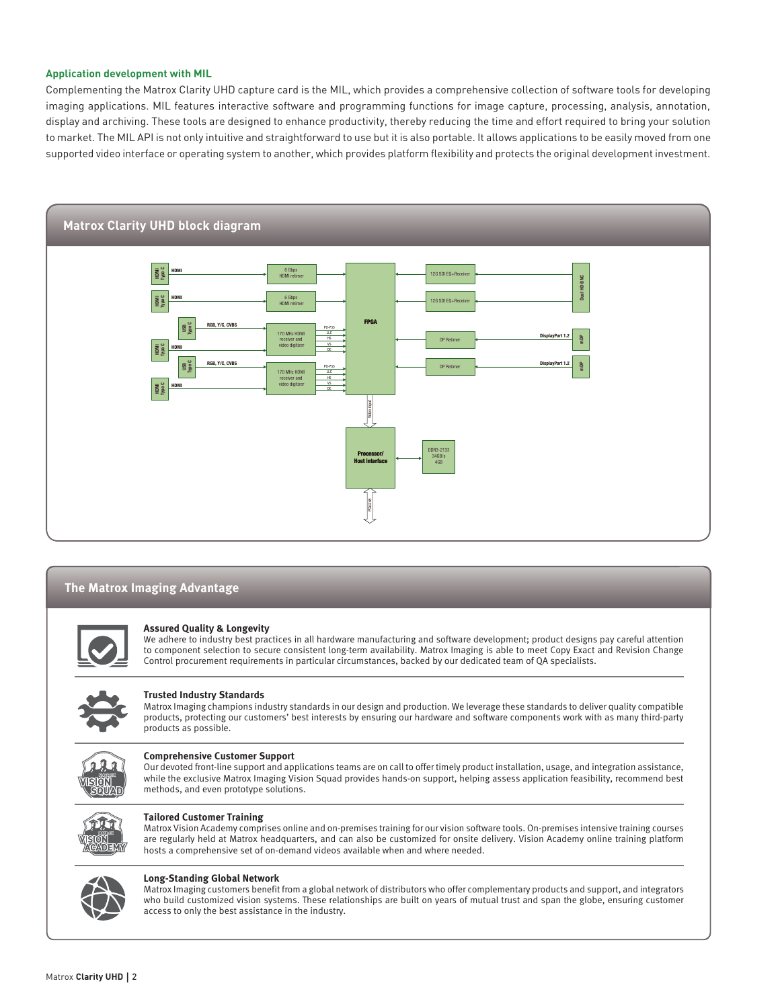#### **Application development with MIL**

Complementing the Matrox Clarity UHD capture card is the MIL, which provides a comprehensive collection of software tools for developing imaging applications. MIL features interactive software and programming functions for image capture, processing, analysis, annotation, display and archiving. These tools are designed to enhance productivity, thereby reducing the time and effort required to bring your solution to market. The MIL API is not only intuitive and straightforward to use but it is also portable. It allows applications to be easily moved from one supported video interface or operating system to another, which provides platform flexibility and protects the original development investment.



## **The Matrox Imaging Advantage**



#### **Assured Quality & Longevity**

We adhere to industry best practices in all hardware manufacturing and software development; product designs pay careful attention to component selection to secure consistent long-term availability. Matrox Imaging is able to meet Copy Exact and Revision Change Control procurement requirements in particular circumstances, backed by our dedicated team of QA specialists.



#### **Trusted Industry Standards**

Matrox Imaging champions industry standards in our design and production. We leverage these standards to deliver quality compatible products, protecting our customers' best interests by ensuring our hardware and software components work with as many third-party products as possible.



#### **Comprehensive Customer Support**

Our devoted front-line support and applications teams are on call to offer timely product installation, usage, and integration assistance, while the exclusive Matrox Imaging Vision Squad provides hands-on support, helping assess application feasibility, recommend best methods, and even prototype solutions.



#### **Tailored Customer Training**

Matrox Vision Academy comprises online and on-premises training for our vision software tools. On-premises intensive training courses are regularly held at Matrox headquarters, and can also be customized for onsite delivery. Vision Academy online training platform hosts a comprehensive set of on-demand videos available when and where needed.



#### **Long-Standing Global Network**

Matrox Imaging customers benefit from a global network of distributors who offer complementary products and support, and integrators who build customized vision systems. These relationships are built on years of mutual trust and span the globe, ensuring customer access to only the best assistance in the industry.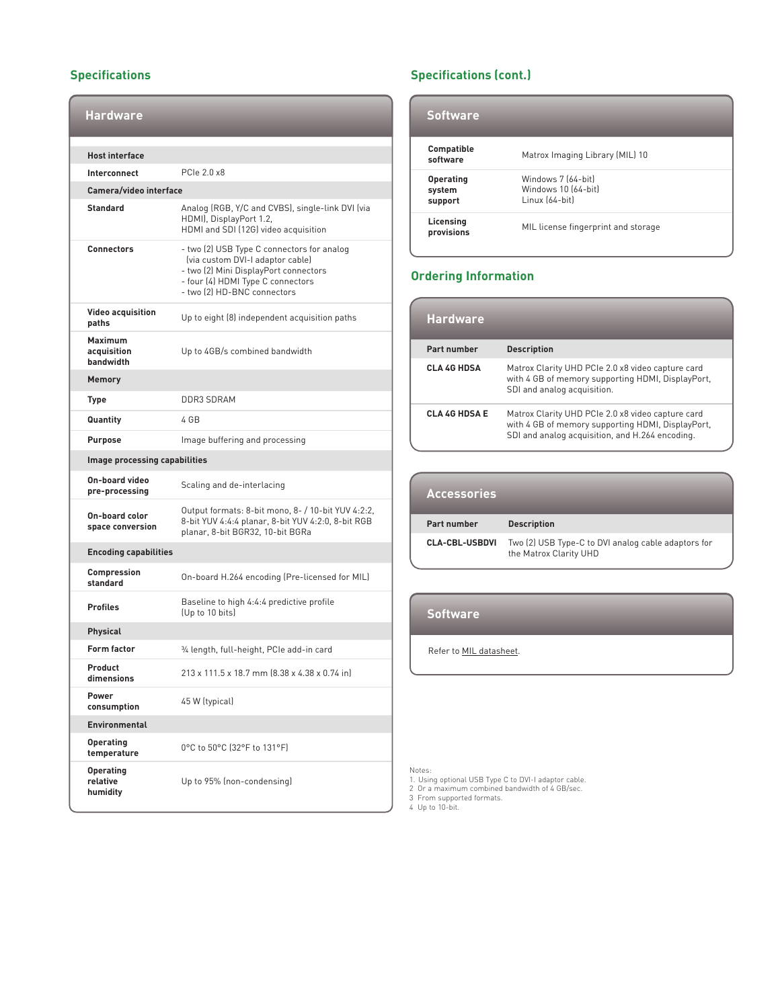# **Specifications**

| <b>Hardware</b>                            |                                                                                                                                                                                             |  |
|--------------------------------------------|---------------------------------------------------------------------------------------------------------------------------------------------------------------------------------------------|--|
| <b>Host interface</b>                      |                                                                                                                                                                                             |  |
| Interconnect                               | PCIe 2.0 x8                                                                                                                                                                                 |  |
| Camera/video interface                     |                                                                                                                                                                                             |  |
| <b>Standard</b>                            | Analog (RGB, Y/C and CVBS), single-link DVI (via<br>HDMI), DisplayPort 1.2,<br>HDMI and SDI (12G) video acquisition                                                                         |  |
| <b>Connectors</b>                          | - two (2) USB Type C connectors for analog<br>(via custom DVI-I adaptor cable)<br>- two (2) Mini DisplayPort connectors<br>- four (4) HDMI Type C connectors<br>- two (2) HD-BNC connectors |  |
| <b>Video acquisition</b><br>paths          | Up to eight (8) independent acquisition paths                                                                                                                                               |  |
| <b>Maximum</b><br>acquisition<br>bandwidth | Up to 4GB/s combined bandwidth                                                                                                                                                              |  |
| <b>Memory</b>                              |                                                                                                                                                                                             |  |
| <b>Type</b>                                | <b>DDR3 SDRAM</b>                                                                                                                                                                           |  |
| Quantity                                   | 4 GB                                                                                                                                                                                        |  |
| <b>Purpose</b>                             | Image buffering and processing                                                                                                                                                              |  |
| Image processing capabilities              |                                                                                                                                                                                             |  |
| On-board video<br>pre-processing           | Scaling and de-interlacing                                                                                                                                                                  |  |
| On-board color<br>space conversion         | Output formats: 8-bit mono, 8- / 10-bit YUV 4:2:2,<br>8-bit YUV 4:4:4 planar, 8-bit YUV 4:2:0, 8-bit RGB<br>planar, 8-bit BGR32, 10-bit BGRa                                                |  |
| <b>Encoding capabilities</b>               |                                                                                                                                                                                             |  |
| Compression<br>standard                    | On-board H.264 encoding (Pre-licensed for MIL)                                                                                                                                              |  |
| <b>Profiles</b>                            | Baseline to high 4:4:4 predictive profile<br>(Up to 10 bits)                                                                                                                                |  |
| Physical                                   |                                                                                                                                                                                             |  |
| Form factor                                | 3⁄4 length, full-height, PCIe add-in card                                                                                                                                                   |  |
| Product<br>dimensions                      | 213 x 111.5 x 18.7 mm (8.38 x 4.38 x 0.74 in)                                                                                                                                               |  |
| Power<br>consumption                       | 45 W (typical)                                                                                                                                                                              |  |
| <b>Environmental</b>                       |                                                                                                                                                                                             |  |
| <b>Operating</b><br>temperature            | 0°C to 50°C (32°F to 131°F)                                                                                                                                                                 |  |
| <b>Operating</b><br>relative<br>humidity   | Up to 95% (non-condensing)                                                                                                                                                                  |  |

# **Specifications (cont.)**

| <b>Software</b>                       |                                                             |
|---------------------------------------|-------------------------------------------------------------|
| <b>Compatible</b><br>software         | Matrox Imaging Library (MIL) 10                             |
| <b>Operating</b><br>system<br>support | Windows 7 (64-bit)<br>Windows 10 [64-bit]<br>Linux (64-bit) |
| Licensing<br>provisions               | MIL license fingerprint and storage                         |

# **Ordering Information**

| <b>Hardware</b>      |                                                                                                                                                           |
|----------------------|-----------------------------------------------------------------------------------------------------------------------------------------------------------|
| Part number          | <b>Description</b>                                                                                                                                        |
| <b>CLA 4G HDSA</b>   | Matrox Clarity UHD PCIe 2.0 x8 video capture card<br>with 4 GB of memory supporting HDMI, DisplayPort,<br>SDI and analog acquisition.                     |
| <b>CLA 4G HDSA E</b> | Matrox Clarity UHD PCIe 2.0 x8 video capture card<br>with 4 GB of memory supporting HDMI, DisplayPort,<br>SDI and analog acquisition, and H.264 encoding. |

| <b>Accessories</b>    |                                                                               |
|-----------------------|-------------------------------------------------------------------------------|
| Part number           | <b>Description</b>                                                            |
| <b>CLA-CBL-USBDVI</b> | Two (2) USB Type-C to DVI analog cable adaptors for<br>the Matrox Clarity UHD |

## **Software**

Refer to **MIL** datasheet.

- Notes: 1. Using optional USB Type C to DVI-I adaptor cable. 2 Or a maximum combined bandwidth of 4 GB/sec. 3 From supported formats. 4 Up to 10-bit.
-